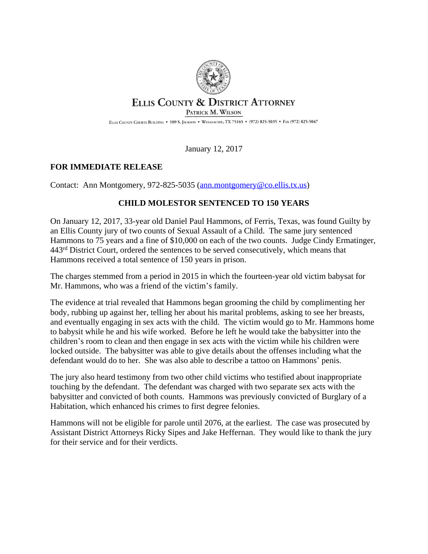

## ELLIS COUNTY & DISTRICT ATTORNEY

PATRICK M. WILSON

ELLIS COUNTY COURTS BUILDING . 109 S. JACKSON . WAXAHACHIE, TX 75165 . (972) 825-5035 . FAX (972) 825-5047

January 12, 2017

## **FOR IMMEDIATE RELEASE**

Contact: Ann Montgomery, 972-825-5035 ([ann.montgomery@co.ellis.tx.us\)](mailto:ann.montgomery@co.ellis.tx.us)

## **CHILD MOLESTOR SENTENCED TO 150 YEARS**

On January 12, 2017, 33-year old Daniel Paul Hammons, of Ferris, Texas, was found Guilty by an Ellis County jury of two counts of Sexual Assault of a Child. The same jury sentenced Hammons to 75 years and a fine of \$10,000 on each of the two counts. Judge Cindy Ermatinger, 443rd District Court, ordered the sentences to be served consecutively, which means that Hammons received a total sentence of 150 years in prison.

The charges stemmed from a period in 2015 in which the fourteen-year old victim babysat for Mr. Hammons, who was a friend of the victim's family.

The evidence at trial revealed that Hammons began grooming the child by complimenting her body, rubbing up against her, telling her about his marital problems, asking to see her breasts, and eventually engaging in sex acts with the child. The victim would go to Mr. Hammons home to babysit while he and his wife worked. Before he left he would take the babysitter into the children's room to clean and then engage in sex acts with the victim while his children were locked outside. The babysitter was able to give details about the offenses including what the defendant would do to her. She was also able to describe a tattoo on Hammons' penis.

The jury also heard testimony from two other child victims who testified about inappropriate touching by the defendant. The defendant was charged with two separate sex acts with the babysitter and convicted of both counts. Hammons was previously convicted of Burglary of a Habitation, which enhanced his crimes to first degree felonies.

Hammons will not be eligible for parole until 2076, at the earliest. The case was prosecuted by Assistant District Attorneys Ricky Sipes and Jake Heffernan. They would like to thank the jury for their service and for their verdicts.